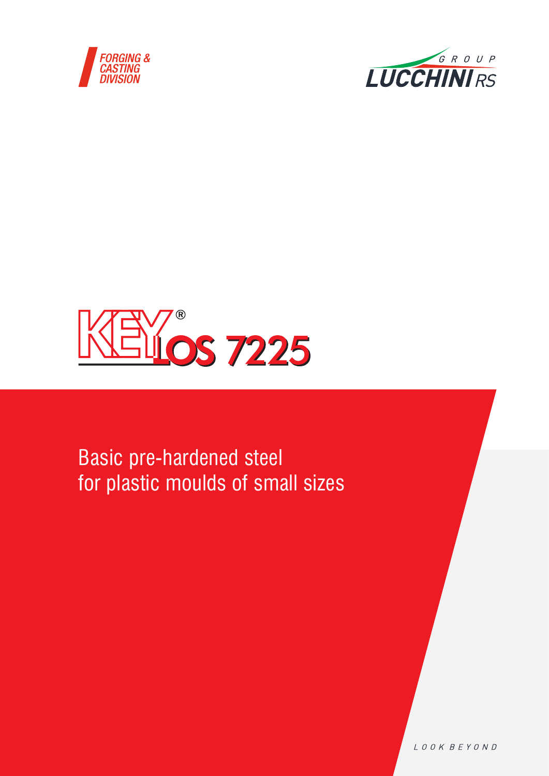





Basic pre-hardened steel for plastic moulds of small sizes

LOOK BEYOND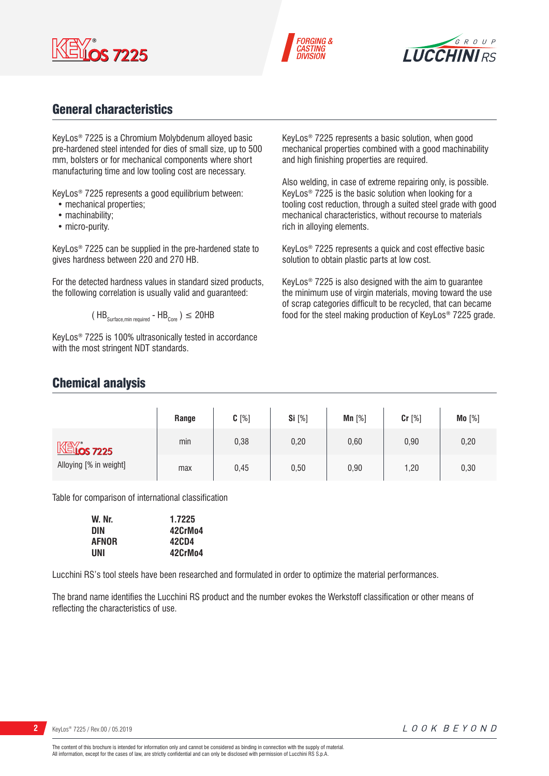





## General characteristics

KeyLos® 7225 is a Chromium Molybdenum alloyed basic pre-hardened steel intended for dies of small size, up to 500 mm, bolsters or for mechanical components where short manufacturing time and low tooling cost are necessary.

KeyLos® 7225 represents a good equilibrium between:

- mechanical properties;
- machinability;
- micro-purity.

KeyLos® 7225 can be supplied in the pre-hardened state to gives hardness between 220 and 270 HB.

For the detected hardness values in standard sized products, the following correlation is usually valid and guaranteed:

$$
(\text{HB}_{\text{Surface,min required}} - \text{HB}_{\text{Core}})
$$
  $\leq$  20HB

KeyLos® 7225 is 100% ultrasonically tested in accordance with the most stringent NDT standards.

KeyLos® 7225 represents a basic solution, when good mechanical properties combined with a good machinability and high finishing properties are required.

Also welding, in case of extreme repairing only, is possible. KeyLos® 7225 is the basic solution when looking for a tooling cost reduction, through a suited steel grade with good mechanical characteristics, without recourse to materials rich in alloying elements.

KeyLos® 7225 represents a quick and cost effective basic solution to obtain plastic parts at low cost.

KeyLos® 7225 is also designed with the aim to guarantee the minimum use of virgin materials, moving toward the use of scrap categories difficult to be recycled, that can became food for the steel making production of KeyLos® 7225 grade.

## Chemical analysis

|                                        | Range | $C[\%]$ | <b>Si</b> [%] | $Mn$ [%] | Cr [%] | Mo [%] |
|----------------------------------------|-------|---------|---------------|----------|--------|--------|
| $M\lll$ 7225<br>Alloying [% in weight] | min   | 0,38    | 0,20          | 0,60     | 0,90   | 0,20   |
|                                        | max   | 0,45    | 0,50          | 0,90     | 1,20   | 0,30   |

Table for comparison of international classification

| W. Nr.       | 1.7225  |
|--------------|---------|
| <b>DIN</b>   | 42CrMo4 |
| <b>AFNOR</b> | 42CD4   |
| UNI          | 42CrMo4 |

Lucchini RS's tool steels have been researched and formulated in order to optimize the material performances.

The brand name identifies the Lucchini RS product and the number evokes the Werkstoff classification or other means of reflecting the characteristics of use.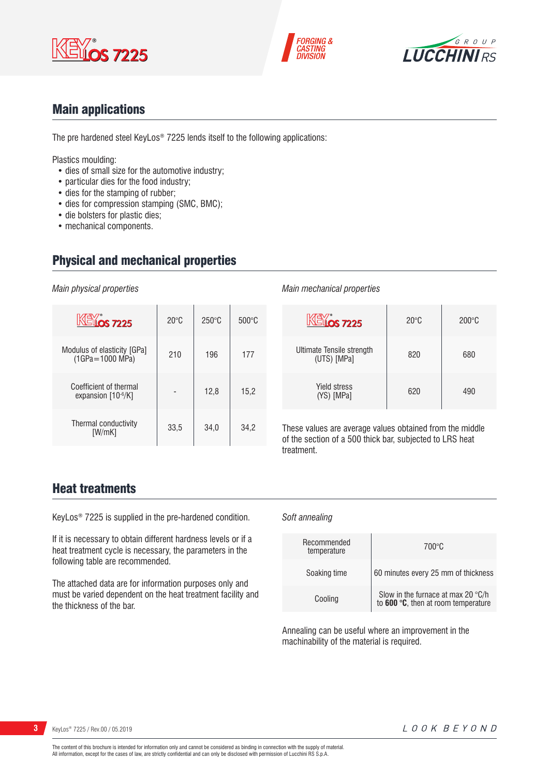





## Main applications

The pre hardened steel KeyLos® 7225 lends itself to the following applications:

Plastics moulding:

- dies of small size for the automotive industry;
- particular dies for the food industry;
- dies for the stamping of rubber;
- dies for compression stamping (SMC, BMC);
- die bolsters for plastic dies;
- mechanical components.

## Physical and mechanical properties

*Main physical properties*

| $\mathbb{K}$ $\mathbb{K}$ $\mathbb{K}$ $\mathbb{K}$ $\mathbb{K}$ $\mathbb{K}$ $\mathbb{K}$ $\mathbb{K}$ $\mathbb{K}$ $\mathbb{K}$ $\mathbb{K}$ $\mathbb{K}$ $\mathbb{K}$ $\mathbb{K}$ $\mathbb{K}$ $\mathbb{K}$ $\mathbb{K}$ $\mathbb{K}$ $\mathbb{K}$ $\mathbb{K}$ $\mathbb{K}$ $\mathbb{K}$ $\mathbb{K}$ $\mathbb{K}$ $\mathbb{$ | $20^{\circ}$ C | $250^{\circ}$ C | $500\degree C$ |
|------------------------------------------------------------------------------------------------------------------------------------------------------------------------------------------------------------------------------------------------------------------------------------------------------------------------------------|----------------|-----------------|----------------|
| Modulus of elasticity [GPa]<br>$(1GPa = 1000 MPa)$                                                                                                                                                                                                                                                                                 | 210            | 196             | 177            |
| Coefficient of thermal<br>expansion $[10-6/K]$                                                                                                                                                                                                                                                                                     |                | 12,8            | 15,2           |
| Thermal conductivity<br>[W/mK]                                                                                                                                                                                                                                                                                                     | 33.5           | 34.0            | 34.2           |

### *Main mechanical properties*

*Soft annealing*

| <b>KEYOS 7225</b>                        | $20^{\circ}$ C | $200\textdegree C$ |
|------------------------------------------|----------------|--------------------|
| Ultimate Tensile strength<br>(UTS) [MPa] | 820            | 680                |
| <b>Yield stress</b><br>(YS) [MPa]        | 620            | 490                |

These values are average values obtained from the middle of the section of a 500 thick bar, subjected to LRS heat treatment.

## Heat treatments

KeyLos® 7225 is supplied in the pre-hardened condition.

If it is necessary to obtain different hardness levels or if a heat treatment cycle is necessary, the parameters in the following table are recommended.

The attached data are for information purposes only and must be varied dependent on the heat treatment facility and the thickness of the bar.

| Recommended<br>temperature | $700\degree C$                                                                     |
|----------------------------|------------------------------------------------------------------------------------|
| Soaking time               | 60 minutes every 25 mm of thickness                                                |
| Cooling                    | Slow in the furnace at max 20 $\degree$ C/h<br>to 600 °C, then at room temperature |

Annealing can be useful where an improvement in the machinability of the material is required.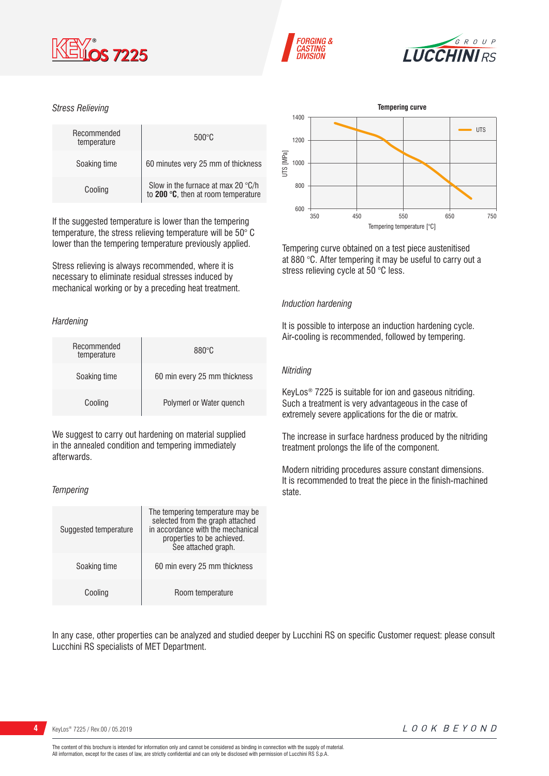





#### *Stress Relieving*

| Recommended<br>temperature | $500\degree C$                                                            |
|----------------------------|---------------------------------------------------------------------------|
| Soaking time               | 60 minutes very 25 mm of thickness                                        |
| Cooling                    | Slow in the furnace at max 20 °C/h<br>to 200 °C, then at room temperature |

If the suggested temperature is lower than the tempering temperature, the stress relieving temperature will be 50° C lower than the tempering temperature previously applied.

Stress relieving is always recommended, where it is necessary to eliminate residual stresses induced by mechanical working or by a preceding heat treatment.

#### *Hardening*

| Recommended<br>temperature | $880^\circ C$                |
|----------------------------|------------------------------|
| Soaking time               | 60 min every 25 mm thickness |
| Cooling                    | Polymerl or Water quench     |

We suggest to carry out hardening on material supplied in the annealed condition and tempering immediately afterwards.

#### *Tempering*

| Suggested temperature | The tempering temperature may be<br>selected from the graph attached<br>in accordance with the mechanical<br>properties to be achieved.<br>See attached graph. |
|-----------------------|----------------------------------------------------------------------------------------------------------------------------------------------------------------|
| Soaking time          | 60 min every 25 mm thickness                                                                                                                                   |
| Cooling               | Room temperature                                                                                                                                               |



Tempering curve obtained on a test piece austenitised at 880 °C. After tempering it may be useful to carry out a stress relieving cycle at 50 °C less.

#### *Induction hardening*

It is possible to interpose an induction hardening cycle. Air-cooling is recommended, followed by tempering.

#### *Nitriding*

KeyLos® 7225 is suitable for ion and gaseous nitriding. Such a treatment is very advantageous in the case of extremely severe applications for the die or matrix.

The increase in surface hardness produced by the nitriding treatment prolongs the life of the component.

Modern nitriding procedures assure constant dimensions. It is recommended to treat the piece in the finish-machined state.

In any case, other properties can be analyzed and studied deeper by Lucchini RS on specific Customer request: please consult Lucchini RS specialists of MET Department.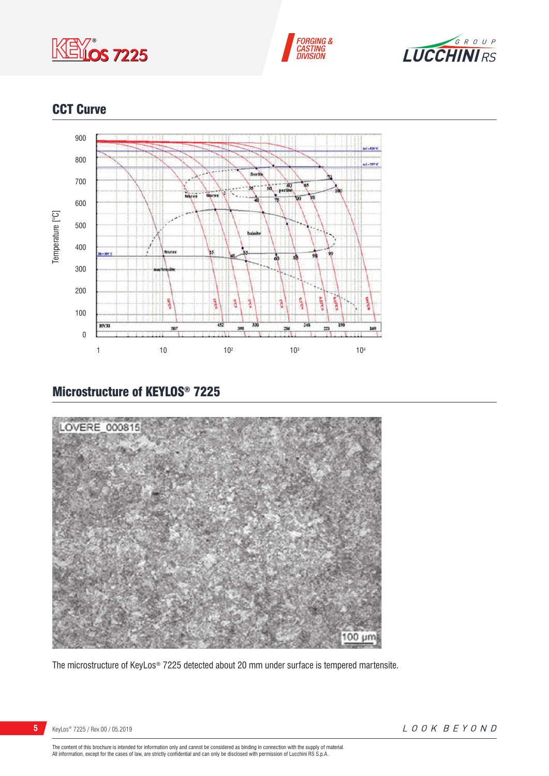





## CCT Curve



## Microstructure of KEYLOS® 7225



The microstructure of KeyLos® 7225 detected about 20 mm under surface is tempered martensite.

The content of this brochure is intended for information only and cannot be considered as binding in connection with the supply of material.<br>All information, except for the cases of law, are strictly confidential and can o